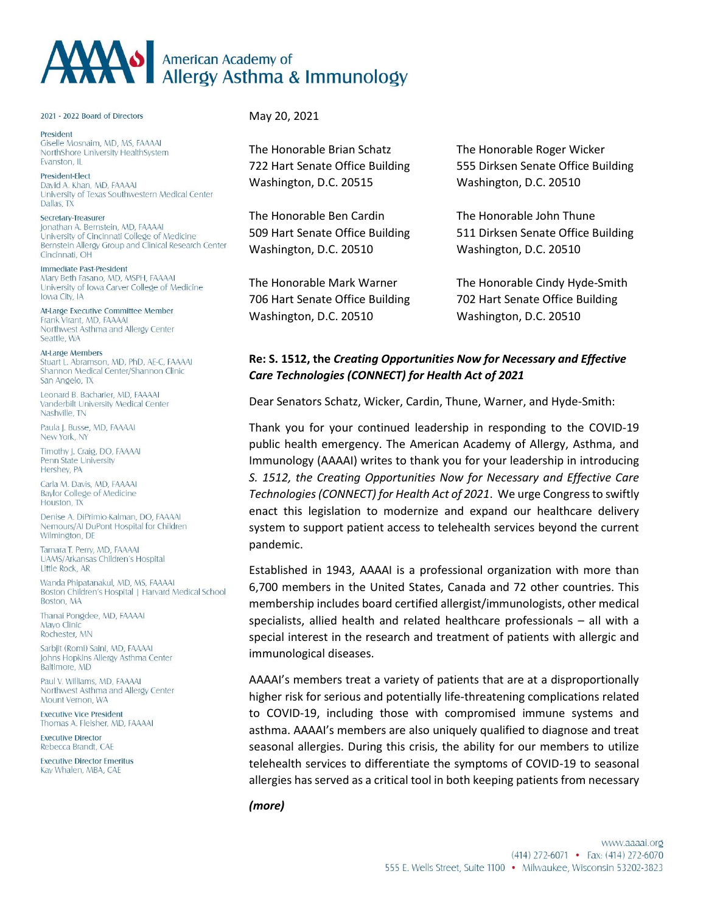## AMO American Academy of Allergy Asthma & Immunology

## 2021 - 2022 Board of Directors

President Giselle Mosnaim, MD, MS, FAAAAI NorthShore University HealthSystem Evanston, IL

President-Elect David A. Khan, MD, FAAAAI University of Texas Southwestern Medical Center Dallas, TX

Secretary-Treasurer Jonathan A. Bernstein, MD, FAAAAI University of Cincinnati College of Medicine Bernstein Allergy Group and Clinical Research Center Cincinnati, OH

Immediate Past-President Mary Beth Fasano, MD, MSPH, FAAAAI University of Iowa Carver College of Medicine Iowa City IA

At-Large Executive Committee Member Frank Virant, MD, FAAAAI Northwest Asthma and Allergy Center Seattle, WA

At-Large Members Stuart L. Abramson, MD, PhD, AE-C, FAAAAI Shannon Medical Center/Shannon Clinic San Angelo, TX

Leonard B. Bacharier, MD, FAAAAI Vanderbilt University Medical Center Nashville, TN

Paula J. Busse, MD, FAAAAI New York, NY

Timothy J. Craig, DO, FAAAAI Penn State University Hershey, PA

Carla M. Davis, MD, FAAAAI Baylor College of Medicine Houston, TX

Denise A. DiPrimio-Kalman, DO, FAAAAI Nemours/AI DuPont Hospital for Children Wilmington, DE

Tamara T. Perry, MD, FAAAAI UAMS/Arkansas Children's Hospital Little Rock, AR

Wanda Phipatanakul, MD, MS, FAAAAI Boston Children's Hospital | Harvard Medical School **Boston MA** 

Thanai Pongdee, MD, FAAAAI Mayo Clinic Rochester, MN

Sarbjit (Romi) Saini, MD, FAAAAI Johns Hopkins Allergy Asthma Center Baltimore, MD

Paul V. Williams, MD, FAAAAI Northwest Asthma and Allergy Center Mount Vernon, WA

**Executive Vice President** Thomas A. Fleisher, MD, FAAAAI

**Executive Director** Rebecca Brandt, CAE

**Executive Director Emeritus** Kay Whalen, MBA, CAE

May 20, 2021

The Honorable Brian Schatz The Honorable Roger Wicker Washington, D.C. 20515 Washington, D.C. 20510

The Honorable Ben Cardin The Honorable John Thune Washington, D.C. 20510 Washington, D.C. 20510

706 Hart Senate Office Building 702 Hart Senate Office Building Washington, D.C. 20510 Washington, D.C. 20510

722 Hart Senate Office Building 555 Dirksen Senate Office Building

509 Hart Senate Office Building 511 Dirksen Senate Office Building

The Honorable Mark Warner The Honorable Cindy Hyde-Smith

## **Re: S. 1512, the** *Creating Opportunities Now for Necessary and Effective Care Technologies (CONNECT) for Health Act of 2021*

Dear Senators Schatz, Wicker, Cardin, Thune, Warner, and Hyde-Smith:

Thank you for your continued leadership in responding to the COVID-19 public health emergency. The American Academy of Allergy, Asthma, and Immunology (AAAAI) writes to thank you for your leadership in introducing *S. 1512, the Creating Opportunities Now for Necessary and Effective Care Technologies (CONNECT) for Health Act of 2021*. We urge Congress to swiftly enact this legislation to modernize and expand our healthcare delivery system to support patient access to telehealth services beyond the current pandemic.

Established in 1943, AAAAI is a professional organization with more than 6,700 members in the United States, Canada and 72 other countries. This membership includes board certified allergist/immunologists, other medical specialists, allied health and related healthcare professionals – all with a special interest in the research and treatment of patients with allergic and immunological diseases.

AAAAI's members treat a variety of patients that are at a disproportionally higher risk for serious and potentially life-threatening complications related to COVID-19, including those with compromised immune systems and asthma. AAAAI's members are also uniquely qualified to diagnose and treat seasonal allergies. During this crisis, the ability for our members to utilize telehealth services to differentiate the symptoms of COVID-19 to seasonal allergies has served as a critical tool in both keeping patients from necessary

*(more)*